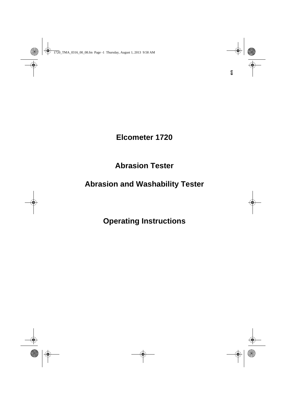**Elcometer 1720**

## **Abrasion Tester**

## **Abrasion and Washability Tester**

**Operating Instructions**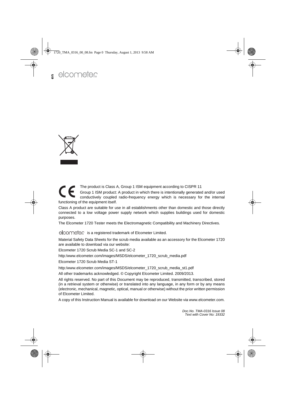

The product is Class A, Group 1 ISM equipment according to CISPR 11 Group 1 ISM product: A product in which there is intentionally generated and/or used conductively coupled radio-frequency energy which is necessary for the internal functioning of the equipment itself.

Class A product are suitable for use in all establishments other than domestic and those directly connected to a low voltage power supply network which supplies buildings used for domestic purposes.

The Elcometer 1720 Tester meets the Electromagnetic Compatibility and Machinery Directives.

s is a registered trademark of Elcometer Limited.

Material Safety Data Sheets for the scrub media available as an accessory for the Elcometer 1720 are available to download via our website:

Elcometer 1720 Scrub Media SC-1 and SC-2

http:/www.elcometer.com/images/MSDS/elcometer\_1720\_scrub\_media.pdf

Elcometer 1720 Scrub Media ST-1

http:/www.elcometer.com/images/MSDS/elcometer\_1720\_scrub\_media\_st1.pdf

All other trademarks acknowledged. © Copyright Elcometer Limited. 2009/2013.

All rights reserved. No part of this Document may be reproduced, transmitted, transcribed, stored (in a retrieval system or otherwise) or translated into any language, in any form or by any means (electronic, mechanical, magnetic, optical, manual or otherwise) without the prior written permission of Elcometer Limited.

A copy of this Instruction Manual is available for download on our Website via www.elcometer.com.

*Doc.No. TMA-0316 Issue 08 Text with Cover No: 19332*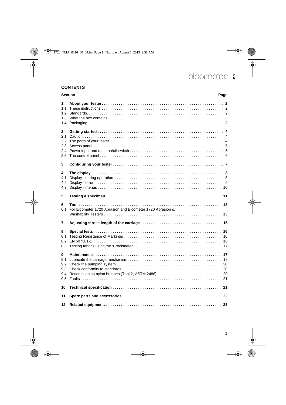### **CONTENTS**

|                               | <b>Section</b><br>Page                                    |  |  |
|-------------------------------|-----------------------------------------------------------|--|--|
| 1<br>1.1<br>1.4               |                                                           |  |  |
| 2<br>2.1<br>2.4<br>2.5        |                                                           |  |  |
| 3                             |                                                           |  |  |
| 4<br>4.1<br>4.2<br>4.3        |                                                           |  |  |
| 5                             |                                                           |  |  |
| 6<br>6.1                      | For Elcometer 1720 Abrasion and Elcometer 1720 Abrasion & |  |  |
| 7                             |                                                           |  |  |
| 8<br>8.1<br>8.2<br>8.3        |                                                           |  |  |
| 9<br>9.1<br>9.2<br>9.3<br>9.4 |                                                           |  |  |
| 10                            |                                                           |  |  |
| 11                            |                                                           |  |  |
| 12                            |                                                           |  |  |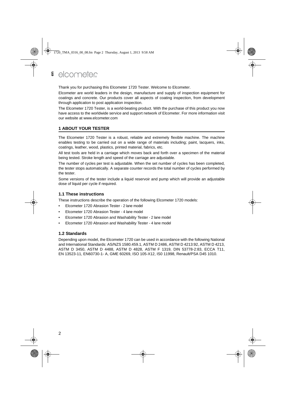Thank you for purchasing this Elcometer 1720 Tester. Welcome to Elcometer.

Elcometer are world leaders in the design, manufacture and supply of inspection equipment for coatings and concrete. Our products cover all aspects of coating inspection, from development through application to post application inspection.

The Elcometer 1720 Tester, is a world-beating product. With the purchase of this product you now have access to the worldwide service and support network of Elcometer. For more information visit our website at [www.elcometer.com](http://www.elcometer.com)

### <span id="page-3-0"></span>**1 ABOUT YOUR TESTER**

The Elcometer 1720 Tester is a robust, reliable and extremely flexible machine. The machine enables testing to be carried out on a wide range of materials including; paint, lacquers, inks, coatings, leather, wood, plastics, printed material, fabrics, etc.

All test tools are held in a carriage which moves back and forth over a specimen of the material being tested. Stroke length and speed of the carriage are adjustable.

The number of cycles per test is adjustable. When the set number of cycles has been completed, the tester stops automatically. A separate counter records the total number of cycles performed by the tester.

Some versions of the tester include a liquid reservoir and pump which will provide an adjustable dose of liquid per cycle if required.

### <span id="page-3-1"></span>**1.1 These instructions**

These instructions describe the operation of the following Elcometer 1720 models:

- Elcometer 1720 Abrasion Tester 2 lane model
- Elcometer 1720 Abrasion Tester 4 lane model
- Elcometer 1720 Abrasion and Washability Tester 2 lane model
- Elcometer 1720 Abrasion and Washability Tester 4 lane model

### <span id="page-3-2"></span>**1.2 Standards**

Depending upon model, the Elcometer 1720 can be used in accordance with the following National and International Standards: AS/NZS 1580.459.1, ASTM D 2486, ASTM D 4213:92, ASTM D 4213, ASTM D 3450, ASTM D 4488, ASTM D 4828, ASTM F 1319, DIN 53778-2:83, ECCA T11, EN 13523-11, EN60730-1- A, GME 60269, ISO 105-X12, IS0 11998, Renault/PSA D45 1010.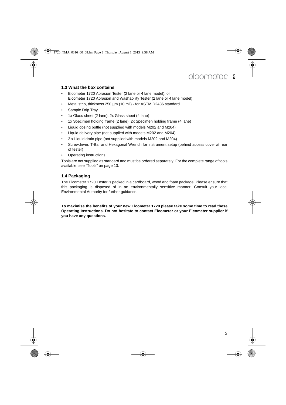### <span id="page-4-0"></span>**1.3 What the box contains**

- Elcometer 1720 Abrasion Tester (2 lane or 4 lane model), or Elcometer 1720 Abrasion and Washability Tester (2 lane or 4 lane model)
- Metal strip, thickness 250 µm (10 mil) for ASTM D2486 standard
- Sample Drip Tray
- 1x Glass sheet (2 lane); 2x Glass sheet (4 lane)
- 1x Specimen holding frame (2 lane); 2x Specimen holding frame (4 lane)
- Liquid dosing bottle (not supplied with models M202 and M204)
- Liquid delivery pipe (not supplied with models M202 and M204)
- 2 x Liquid drain pipe (not supplied with models M202 and M204)
- Screwdriver, T-Bar and Hexagonal Wrench for instrument setup (behind access cover at rear of tester)
- Operating instructions

Tools are not supplied as standard and must be ordered separately. For the complete range of tools available, see ["Tools" on page 13.](#page-14-0)

### <span id="page-4-1"></span>**1.4 Packaging**

The Elcometer 1720 Tester is packed in a cardboard, wood and foam package. Please ensure that this packaging is disposed of in an environmentally sensitive manner. Consult your local Environmental Authority for further guidance.

**To maximise the benefits of your new Elcometer 1720 please take some time to read these Operating Instructions. Do not hesitate to contact Elcometer or your Elcometer supplier if you have any questions.**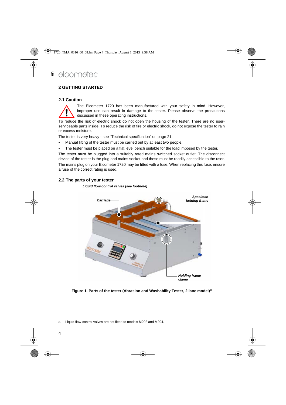### <span id="page-5-0"></span>**2 GETTING STARTED**

#### <span id="page-5-1"></span>**2.1 Caution**



The Elcometer 1720 has been manufactured with your safety in mind. However, improper use can result in damage to the tester. Please observe the precautions discussed in these operating instructions.

To reduce the risk of electric shock do not open the housing of the tester. There are no userserviceable parts inside. To reduce the risk of fire or electric shock, do not expose the tester to rain or excess moisture.

The tester is very heavy - [see "Technical specification" on page 21:](#page-22-1)

- Manual lifting of the tester must be carried out by at least two people.
- The tester must be placed on a flat level bench suitable for the load imposed by the tester.

The tester must be plugged into a suitably rated mains switched socket outlet. The disconnect device of the tester is the plug and mains socket and these must be readily accessible to the user.

The mains plug on your Elcometer 1720 may be fitted with a fuse. When replacing this fuse, ensure a fuse of the correct rating is used.

### <span id="page-5-2"></span>**2.2 The parts of your tester**



**Figure 1. Parts of the tester (Abrasion and Washability Tester, 2 lane model)<sup>a</sup>**

a. Liquid flow-control valves are not fitted to models M202 and M204.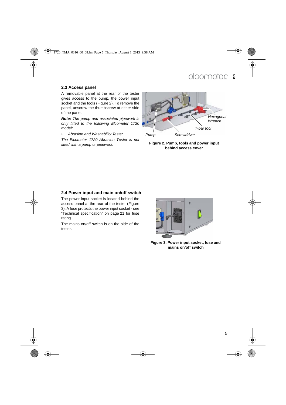### <span id="page-6-0"></span>**2.3 Access panel**

A removable panel at the rear of the tester gives access to the pump, the power input socket and the tools (Figure 2). To remove the panel, unscrew the thumbscrew at either side of the panel.

*Note: The pump and associated pipework is only fitted to the following Elcometer 1720 model:*

*• Abrasion and Washability Tester*

*The Elcometer 1720 Abrasion Tester is not fitted with a pump or pipework.*



**Figure 2. Pump, tools and power input behind access cover**

### <span id="page-6-1"></span>**2.4 Power input and main on/off switch**

The power input socket is located behind the access panel at the rear of the tester (Figure 3). A fuse protects the power input socket - see ["Technical specification" on page 21](#page-22-1) for fuse rating.

The mains on/off switch is on the side of the tester.



**Figure 3. Power input socket, fuse and mains on/off switch**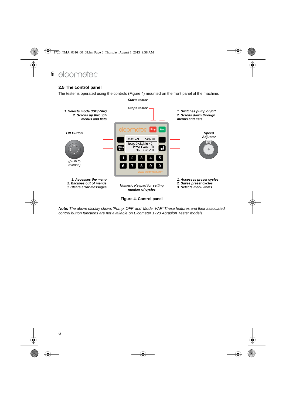### <span id="page-7-0"></span>**2.5 The control panel**

The tester is operated using the controls (Figure 4) mounted on the front panel of the machine.



**Figure 4. Control panel**

*Note: The above display shows 'Pump: OFF' and 'Mode: VAR' These features and their associated control button functions are not available on Elcometer 1720 Abrasion Tester models.*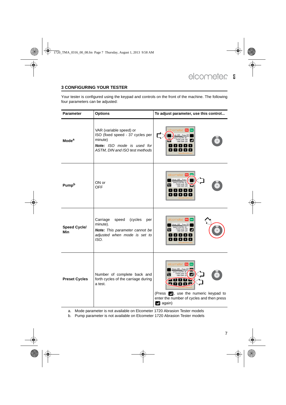### <span id="page-8-0"></span>**3 CONFIGURING YOUR TESTER**

Your tester is configured using the keypad and controls on the front of the machine. The following four parameters can be adjusted:

| <b>Parameter</b>           | <b>Options</b>                                                                                                                                | To adjust parameter, use this control                                                                                                                                                                                                                                                            |
|----------------------------|-----------------------------------------------------------------------------------------------------------------------------------------------|--------------------------------------------------------------------------------------------------------------------------------------------------------------------------------------------------------------------------------------------------------------------------------------------------|
| <b>Mode<sup>a</sup></b>    | VAR (variable speed) or<br>ISO (fixed speed - 37 cycles per<br>minute)<br><b>Note:</b> ISO mode is used for<br>ASTM, DIN and ISO test methods | <b>COMPLER</b> Stop<br>Start<br>SAV via<br>Pump: OFF<br>Preset Cycle: 100<br>Total Count: 200<br>ł.<br><b>Lists</b><br>$1$   2   3   4   5<br>$\begin{bmatrix} 6 & 7 & 8 & 9 & 0 \end{bmatrix}$                                                                                                  |
| <b>Pump</b> b              | ON or<br>OFF                                                                                                                                  | elcometer stop start<br>Mode: VAR<br>Pump: (<br>Cucle/Min: 40<br>t Cycle: 100<br>Total Count: 200<br>$1$   2   3   4   5<br>67890                                                                                                                                                                |
| <b>Speed Cycle/</b><br>Min | Carriage<br>speed<br>(cycles<br>per<br>minute).<br>Note: This parameter cannot be<br>adjusted when mode is set to<br>ISO.                     | elcometer siep<br>Hode: VAR<br>Pump: OFF<br>d Cycle/Min: 40<br>et Cycle: 100<br>Total Count: 200<br>$1$   2   3   4   5<br>6 7 8 9 0                                                                                                                                                             |
| <b>Preset Cycles</b>       | Number of complete back and<br>forth cycles of the carriage during<br>a test.                                                                 | elcometer step<br>Mode: VAR Pump: OFF<br>Speed Cycle/Min: 40<br>Preset Cycle: 10<br>Ø<br><b>12342</b><br>$\blacksquare$ $\blacksquare$ $\blacksquare$ $\blacksquare$ $\blacksquare$<br>(Press <b>e</b> , use the numeric keypad to<br>enter the number of cycles and then press<br>$\Box$ again) |

a. Mode parameter is not available on Elcometer 1720 Abrasion Tester models

b. Pump parameter is not available on Elcometer 1720 Abrasion Tester models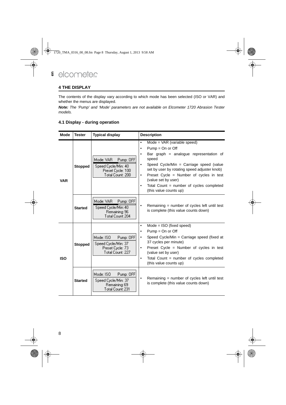### <span id="page-9-0"></span>**4 THE DISPLAY**

The contents of the display vary according to which mode has been selected (ISO or VAR) and whether the menus are displayed.

*Note: The 'Pump' and 'Mode' parameters are not available on Elcometer 1720 Abrasion Tester models.*

### <span id="page-9-1"></span>**4.1 Display - during operation**

| Mode       | <b>Tester</b>  | <b>Typical display</b>                                                                 | <b>Description</b>                                                                                                                                                                                                                                                                                                                                                                         |
|------------|----------------|----------------------------------------------------------------------------------------|--------------------------------------------------------------------------------------------------------------------------------------------------------------------------------------------------------------------------------------------------------------------------------------------------------------------------------------------------------------------------------------------|
| <b>VAR</b> | <b>Stopped</b> | Mode: VAR<br>Pump: OFF<br>Speed Cycle/Min: 40<br>Preset Cycle: 100<br>Total Count: 200 | Mode = $VAR$ (variable speed)<br>$\bullet$<br>$Pump = On$ or Off<br>$\bullet$<br>Bar graph = analogue representation of<br>٠<br>speed<br>Speed Cycle/Min = Carriage speed (value<br>٠<br>set by user by rotating speed adjuster knob)<br>Preset Cycle = Number of cycles in test<br>$\bullet$<br>(value set by user)<br>Total Count = number of cycles completed<br>(this value counts up) |
|            | <b>Started</b> | Mode: VAR<br>Pump: OFF<br>Speed Cycle/Min: 40<br>Remaining: 96<br>Total Count: 204     | Remaining $=$ number of cycles left until test<br>٠<br>is complete (this value counts down)                                                                                                                                                                                                                                                                                                |
| <b>ISO</b> | <b>Stopped</b> | Mode: ISO<br>Pump: OFF<br>Speed Cycle/Min: 37<br>Preset Cycle: 73<br>Total Count: 227  | $Mode = ISO$ (fixed speed)<br>$\bullet$<br>$Pump = On$ or Off<br>٠<br>Speed Cycle/Min = Carriage speed (fixed at<br>$\bullet$<br>37 cycles per minute)<br>Preset Cycle = Number of cycles in test<br>٠<br>(value set by user)<br>Total Count = number of cycles completed<br>$\bullet$<br>(this value counts up)                                                                           |
|            | <b>Started</b> | Mode: ISO<br>Pump: OFF<br>Speed Cycle/Min: 37<br>Remaining: 69<br>Total Count: 231     | Remaining = number of cycles left until test<br>$\bullet$<br>is complete (this value counts down)                                                                                                                                                                                                                                                                                          |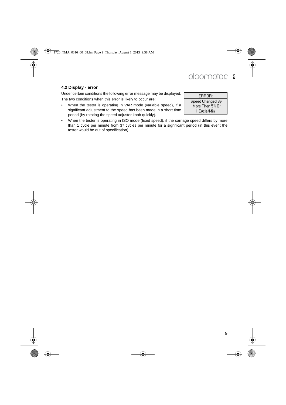### elcometer **en**

### <span id="page-10-0"></span>**4.2 Display - error**

Under certain conditions the following error message may be displayed: The two conditions when this error is likely to occur are:

• When the tester is operating in VAR mode (variable speed), if a significant adjustment to the speed has been made in a short time period (by rotating the speed adjuster knob quickly).

ERROR: Speed Changed By More Than 5% Or 1 Cycle/Min

• When the tester is operating in ISO mode (fixed speed), if the carriage speed differs by more than 1 cycle per minute from 37 cycles per minute for a significant period (in this event the tester would be out of specification).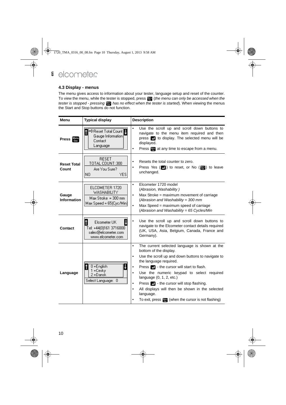### <span id="page-11-0"></span>**4.3 Display - menus**

The menu gives access to information about your tester, language setup and reset of the counter. To view the menu, while the tester is stopped, press (*the menu can only be accessed when the tester is stopped - pressing has no effect when the tester is started*). When viewing the menus the Start and Stop buttons do not function.

| Menu                        | <b>Typical display</b>                                                                   | <b>Description</b>                                                                                                                                                                                                                                                                                                                                                                                                                                                                                                                            |  |
|-----------------------------|------------------------------------------------------------------------------------------|-----------------------------------------------------------------------------------------------------------------------------------------------------------------------------------------------------------------------------------------------------------------------------------------------------------------------------------------------------------------------------------------------------------------------------------------------------------------------------------------------------------------------------------------------|--|
| <b>Press</b> Menu           | ⇔Reset Total Count<br>Û<br>Gauge Information<br>Contact<br>Language                      | $\bullet$<br>Use the scroll up and scroll down buttons to<br>navigate to the menu item required and then<br>press <b>1</b> to display. The selected menu will be<br>displayed.<br>Press <b>Form</b> at any time to escape from a menu.<br>٠                                                                                                                                                                                                                                                                                                   |  |
| <b>Reset Total</b><br>Count | <b>RESET</b><br>TOTAL COUNT: 300<br>Are You Sure?<br>YES.<br>NΟ                          | Resets the total counter to zero.<br>$\bullet$<br>Press Yes $(\blacksquare)$ to reset, or No $(\blacksquare)$ to leave<br>$\bullet$<br>unchanged.                                                                                                                                                                                                                                                                                                                                                                                             |  |
| Gauge<br><b>Information</b> | ELCOMETER 1720<br><b>WASHABILITY</b><br>$Max Stroke = 300 mm$<br>Max Speed = 65(Cyc/Min) | Elcometer 1720 model<br>$\bullet$<br>(Abrasion, Washability)<br>Max Stroke = maximum movement of carriage<br>$\bullet$<br>(Abrasion and Washability = 300 mm)<br>Max Speed = maximum speed of carriage<br>$\bullet$<br>(Abrasion and Washability = 65 Cycles/Min                                                                                                                                                                                                                                                                              |  |
| Contact                     | Elcometer UK<br>Tel: +44(0)161 3716000<br>sales@elcometer.com<br>www.elcometer.com       | Use the scroll up and scroll down buttons to<br>$\bullet$<br>navigate to the Elcometer contact details required<br>(UK, USA, Asia, Belgium, Canada, France and<br>Germany).                                                                                                                                                                                                                                                                                                                                                                   |  |
| Language                    | 0 = English<br>1 = Cesky<br>2 = Dansk<br>Select Language: 0                              | The current selected language is shown at the<br>$\bullet$<br>bottom of the display.<br>Use the scroll up and down buttons to navigate to<br>$\bullet$<br>the language required.<br>Press <b>P</b> - the cursor will start to flash.<br>٠<br>Use the numeric keypad to select required<br>$\bullet$<br>language $(0, 1, 2, etc.)$<br>Press <b>2</b> - the cursor will stop flashing.<br>$\bullet$<br>All displays will then be shown in the selected<br>$\bullet$<br>language.<br>To exit, press <b>For</b> (when the cursor is not flashing) |  |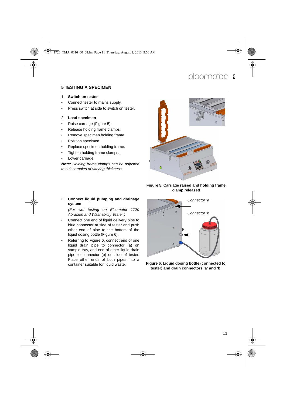### <span id="page-12-0"></span>**5 TESTING A SPECIMEN**

#### 1. **Switch on tester**

- Connect tester to mains supply.
- Press switch at side to switch on tester.

### 2. **Load specimen**

- Raise carriage [\(Figure 5](#page-12-1)).
- Release holding frame clamps.
- Remove specimen holding frame.
- Position specimen.
- Replace specimen holding frame.
- Tighten holding frame clamps.
- Lower carriage.

*Note: Holding frame clamps can be adjusted to suit samples of varying thickness.*



### <span id="page-12-1"></span>**Figure 5. Carriage raised and holding frame clamp released**

### 3. **Connect liquid pumping and drainage system**

*(For wet testing on Elcometer 1720 Abrasion and Washability Tester )*

- Connect one end of liquid delivery pipe to blue connector at side of tester and push other end of pipe to the bottom of the liquid dosing bottle (Figure 6).
- Referring to Figure 6, connect end of one liquid drain pipe to connector (a) on sample tray, and end of other liquid drain pipe to connector (b) on side of tester. Place other ends of both pipes into a container suitable for liquid waste.



**Figure 6. Liquid dosing bottle (connected to tester) and drain connectors 'a' and 'b'**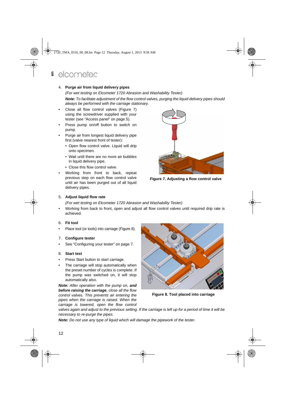#### 4. **Purge air from liquid delivery pipes**

*(For wet testing on Elcometer 1720 Abrasion and Washability Tester) Note: To facilitate adjustment of the flow control valves, purging the liquid delivery pipes should always be performed with the carriage stationary.*

- Close all flow control valves (Figure 7) using the screwdriver supplied with your tester ([see "Access panel" on page 5\)](#page-6-0).
- Press pump on/off button to switch on pump.
- Purge air from longest liquid delivery pipe first (valve nearest front of tester):
	- Open flow control valve. Liquid will drip onto specimen.
	- Wait until there are no more air bubbles in liquid delivery pipe.
	- Close this flow control valve.
- Working from front to back, repeat previous step on each flow control valve until air has been purged out of all liquid delivery pipes.



**Figure 7. Adjusting a flow control valve**

#### 5. **Adjust liquid flow rate**

*(For wet testing on Elcometer 1720 Abrasion and Washability Tester)*

• Working from back to front, open and adjust all flow control valves until required drip rate is achieved.

#### 6. **Fit tool**

Place tool (or tools) into carriage ([Figure 8\)](#page-13-0).

#### 7. **Configure tester**

• See ["Configuring your tester" on page 7](#page-8-0).

#### 8. **Start test**

- Press Start button to start carriage.
- The carriage will stop automatically when the preset number of cycles is complete. If the pump was switched on, it will stop automatically also.

*Note: After operation with the pump on, and before raising the carriage, close all the flow control valves. This prevents air entering the pipes when the carriage is raised. When the carriage is lowered, open the flow control*



<span id="page-13-0"></span>**Figure 8. Tool placed into carriage**

*valves again and adjust to the previous setting. If the carriage is left up for a period of time it will be necessary to re-purge the pipes.*

*Note: Do not use any type of liquid which will damage the pipework of the tester.*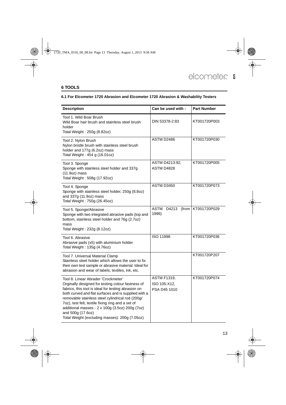### <span id="page-14-0"></span>**6 TOOLS**

### <span id="page-14-1"></span>**6.1 For Elcometer 1720 Abrasion and Elcometer 1720 Abrasion & Washability Testers**

| <b>Description</b>                                                                                                                                                                                                                                                                                                                                                                                                                         | Can be used with:                                  | <b>Part Number</b> |
|--------------------------------------------------------------------------------------------------------------------------------------------------------------------------------------------------------------------------------------------------------------------------------------------------------------------------------------------------------------------------------------------------------------------------------------------|----------------------------------------------------|--------------------|
| Tool 1. Wild Boar Brush<br>Wild Boar hair brush and stainless steel brush<br>holder<br>Total Weight: 250g (8.82oz)                                                                                                                                                                                                                                                                                                                         | DIN 53378-2:83                                     | KT001720P003       |
| Tool 2. Nylon Brush<br>Nylon bristle brush with stainless steel brush<br>holder and 177g (6.2oz) mass<br>Total Weight: 454 g (16.01oz)                                                                                                                                                                                                                                                                                                     | ASTM D2486                                         | KT001720P030       |
| Tool 3. Sponge<br>Sponge with stainless steel holder and 337g<br>$(11.9oz)$ mass<br>Total Weight: 508g (17.92oz)                                                                                                                                                                                                                                                                                                                           | ASTM D4213:92,<br>ASTM D4828                       | KT001720P005       |
| Tool 4. Sponge<br>Sponge with stainless steel holder, 250g (8.8oz)<br>and 337g (11.9oz) mass<br>Total Weight: 750g (26.45oz)                                                                                                                                                                                                                                                                                                               | ASTM D3450                                         | KT001720P073       |
| Tool 5. Sponge/Abrasive<br>Sponge with two integrated abrasive pads (top and<br>bottom, stainless steel holder and 76g (2.7oz)<br>mass<br>Total Weight: 232g (8.12oz)                                                                                                                                                                                                                                                                      | <b>ASTM</b><br>D4213<br>(from<br>1996)             | KT001720P029       |
| Tool 6. Abrasive<br>Abrasive pads (x5) with aluminium holder<br>Total Weight: 135g (4.76oz)                                                                                                                                                                                                                                                                                                                                                | ISO 11998                                          | KT001720P036       |
| Tool 7. Universal Material Clamp<br>Stainless steel holder which allows the user to fix<br>their own test sample or abrasive material. Ideal for<br>abrasion and wear of labels, textiles, ink, etc.                                                                                                                                                                                                                                       |                                                    | KT001720P207       |
| Tool 8. Linear Abrader 'Crockmeter'<br>Orginally designed for testing colour fastness of<br>fabrics, this tool is ideal for testing abrasion on<br>both curved and flat surfaces and is supplied with a<br>removable stainless steel cylindrical rod (200q/<br>7oz), test felt, textile fixing ring and a set of<br>additional masses - 2 x 100g (3.5oz) 200g (7oz)<br>and 500g (17.6oz)<br>Total Weight (excluding masses): 200g (7.05oz) | <b>ASTM F1319,</b><br>ISO 105-X12.<br>PSA D45 1010 | KT001720P074       |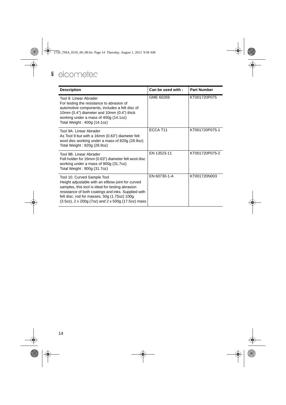| <b>Description</b>                                                                                                                                                                                                                                                                                       | Can be used with: | <b>Part Number</b> |
|----------------------------------------------------------------------------------------------------------------------------------------------------------------------------------------------------------------------------------------------------------------------------------------------------------|-------------------|--------------------|
| Tool 9. Linear Abrader<br>For testing the resistance to abrasion of<br>automotive components, includes a felt disc of<br>10mm (0.4") diameter and 10mm (0.4") thick<br>working under a mass of 400g (14.1oz)<br>Total Weight: 400g (14.1oz)                                                              | GME 60269         | KT001720P075       |
| Tool 9A. Linear Abrader<br>As Tool 9 but with a 16mm (0.63") diameter felt<br>wool disc working under a mass of 820g (28.9oz)<br>Total Weight: 820g (28.9oz)                                                                                                                                             | ECCA T11          | KT001720P075-1     |
| Tool 9B. Linear Abrader<br>Felt holder for 16mm (0.63") diameter felt wool disc<br>working under a mass of 900g (31.7oz)<br>Total Weight: 900g (31.7oz)                                                                                                                                                  | EN 13523-11       | KT001720P075-2     |
| Tool 10. Curved Sample Tool<br>Height adjustable with an ellbow joint for curved<br>samples, this tool is ideal for testing abrasion<br>resistance of both coatings and inks. Supplied with<br>felt disc, rod for masses, 50g (1.75oz) 100g<br>$(3.5oz)$ , 2 x 200g $(7oz)$ and 2 x 500g $(17.5oz)$ mass | EN 60730-1-A      | KT001720N003       |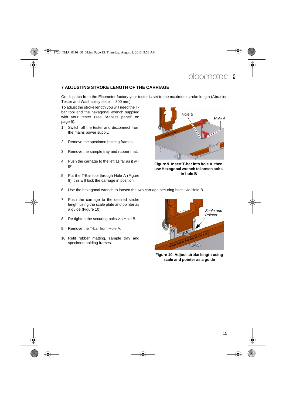### <span id="page-16-0"></span>**7 ADJUSTING STROKE LENGTH OF THE CARRIAGE**

On dispatch from the Elcometer factory your tester is set to the maximum stroke length (Abrasion Tester and Washability tester =  $300 \text{ mm}$ )

To adjust the stroke length you will need the Tbar tool and the hexagonal wrench supplied with your tester ([see "Access panel" on](#page-6-0) [page 5\)](#page-6-0).

- 1. Switch off the tester and disconnect from the mains power supply.
- 2. Remove the specimen holding frames.
- 3. Remove the sample tray and rubber mat.
- 4. Push the carriage to the left as far as it will go.
- 5. Put the T-Bar tool through Hole A [\(Figure](#page-16-1) [9](#page-16-1)), this will lock the carriage in position.



**Figure 9. Insert T-bar into hole A, then use Hexagonal wrench to loosen bolts in hole B**

- 6. Use the hexagonal wrench to loosen the two carriage securing bolts, via Hole B.
- 7. Push the carriage to the desired stroke length using the scale plate and pointer as a guide ([Figure 10](#page-16-2)).
- 8. Re tighten the securing bolts via Hole B.
- 9. Remove the T-bar from Hole A.
- 10. Refit rubber matting, sample tray and specimen holding frames.

<span id="page-16-2"></span><span id="page-16-1"></span>

**Figure 10. Adjust stroke length using scale and pointer as a guide**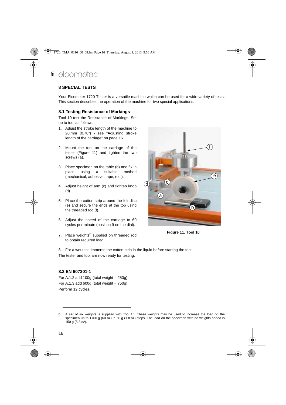### <span id="page-17-0"></span>**8 SPECIAL TESTS**

Your Elcometer 1720 Tester is a versatile machine which can be used for a wide variety of tests. This section describes the operation of the machine for two special applications.

#### <span id="page-17-1"></span>**8.1 Testing Resistance of Markings**

Tool 10 test the Resistance of Markings. Set up to tool as follows:

- 1. Adjust the stroke length of the machine to 20 mm (0.78") - see ["Adjusting stroke](#page-16-0) [length of the carriage" on page 15.](#page-16-0)
- 2. Mount the tool on the carriage of the tester ([Figure 11\)](#page-17-3) and tighten the two screws (a).
- 3. Place specimen on the table (b) and fix in place using a suitable method (mechanical, adhesive, tape, etc.).
- 4. Adjust height of arm (c) and tighten knob (d).
- 5. Place the cotton strip around the felt disc (e) and secure the ends at the top using the threaded rod (f).
- 6. Adjust the speed of the carriage to 60 cycles per minute (position 9 on the dial).
- <span id="page-17-3"></span>7. Place weights<sup>b</sup> supplied on threaded rod to obtain required load.



**Figure 11. Tool 10**

8. For a wet test, immerse the cotton strip in the liquid before starting the test. The tester and tool are now ready for testing.

### <span id="page-17-2"></span>**8.2 EN 607301-1**

For A.1.2 add 100g (total weight =  $250g$ ) For A.1.3 add 600g (total weight  $= 750q$ ) Perform 12 cycles.

b. A set of six weights is supplied with Tool 10. These weights may be used to increase the load on the specimen up to 1700 g (60 oz) in 50 g (1.8 oz) steps. The load on the specimen with no weights added is 150 g (5.3 oz).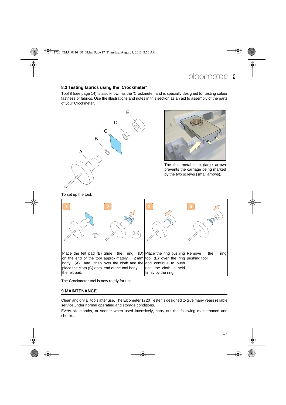### <span id="page-18-0"></span>**8.3 Testing fabrics using the 'Crockmeter'**

Tool 8 (see page 14) is also known as the 'Crockmeter' and is specially designed for testing colour fastness of fabrics. Use the illustrations and notes in this section as an aid to assembly of the parts of your Crockmeter.





The thin metal strip (large arrow) prevents the carriage being marked by the two screws (small arrows).

To set up the tool:

| Place the felt pad $(B)$ Slide the               |                                                               | ring (D) Place the ring pushing Remove                                                   | ring<br>the |
|--------------------------------------------------|---------------------------------------------------------------|------------------------------------------------------------------------------------------|-------------|
|                                                  |                                                               | on the end of the tool approximately $2 \text{ mm}$ tool (E) over the ring pushing tool. |             |
|                                                  | body (A) and then over the cloth and the and continue to push |                                                                                          |             |
| place the cloth $(C)$ onto end of the tool body. |                                                               | until the cloth is held                                                                  |             |
| the felt pad.                                    |                                                               | firmly by the ring.                                                                      |             |

The Crockmeter tool is now ready for use.

### <span id="page-18-1"></span>**9 MAINTENANCE**

Clean and dry all tools after use. The Elcometer 1720 Tester is designed to give many years reliable service under normal operating and storage conditions.

Every six months, or sooner when used intensively, carry out the following maintenance and checks: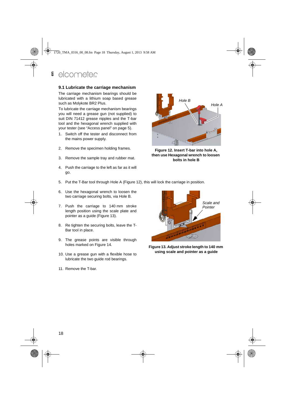### <span id="page-19-0"></span>**9.1 Lubricate the carriage mechanism**

The carriage mechanism bearings should be lubricated with a lithium soap based grease such as Molykote BR2 Plus.

To lubricate the carriage mechanism bearings you will need a grease gun (not supplied) to suit DIN 71412 grease nipples and the T-bar tool and the hexagonal wrench supplied with your tester [\(see "Access panel" on page 5](#page-6-0)).

- 1. Switch off the tester and disconnect from the mains power supply.
- 2. Remove the specimen holding frames.
- 3. Remove the sample tray and rubber mat.
- 4. Push the carriage to the left as far as it will go.
- 5. Put the T-Bar tool through Hole A ([Figure 12](#page-19-1)), this will lock the carriage in position.
- 6. Use the hexagonal wrench to loosen the two carriage securing bolts, via Hole B.
- 7. Push the carriage to 140 mm stroke length position using the scale plate and pointer as a guide [\(Figure 13](#page-19-2)).
- 8. Re tighten the securing bolts, leave the T-Bar tool in place.
- 9. The grease points are visible through holes marked on Figure 14.
- 10. Use a grease gun with a flexible hose to lubricate the two guide rod bearings.
- 11. Remove the T-bar.



<span id="page-19-1"></span>**Figure 12. Insert T-bar into hole A, then use Hexagonal wrench to loosen bolts in hole B**

<span id="page-19-2"></span>

**Figure 13. Adjust stroke length to 140 mm using scale and pointer as a guide**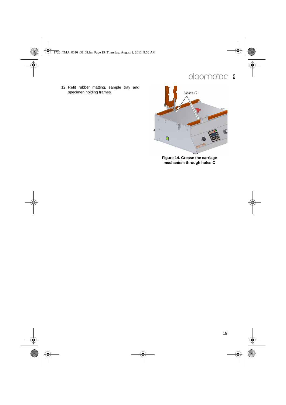12. Refit rubber matting, sample tray and specimen holding frames. **Holes C Holes C Holes C** 



**Figure 14. Grease the carriage mechanism through holes C**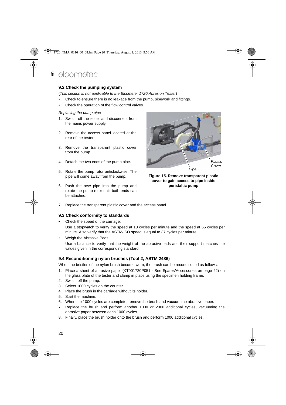### <span id="page-21-0"></span>**9.2 Check the pumping system**

(*This section is not applicable to the Elcometer 1720 Abrasion Tester*)

- Check to ensure there is no leakage from the pump, pipework and fittings.
- Check the operation of the flow control valves.

#### *Replacing the pump pipe*

- 1. Switch off the tester and disconnect from the mains power supply.
- 2. Remove the access panel located at the rear of the tester.
- 3. Remove the transparent plastic cover from the pump.
- 4. Detach the two ends of the pump pipe.
- 5. Rotate the pump rotor anticlockwise. The pipe will come away from the pump.
- 6. Push the new pipe into the pump and rotate the pump rotor until both ends can be attached.



**Figure 15. Remove transparent plastic cover to gain access to pipe inside peristaltic pump**

7. Replace the transparent plastic cover and the access panel.

### <span id="page-21-1"></span>**9.3 Check conformity to standards**

• Check the speed of the carriage.

Use a stopwatch to verify the speed at 10 cycles per minute and the speed at 65 cycles per minute. Also verify that the ASTM/ISO speed is equal to 37 cycles per minute.

Weigh the Abrasive Pads.

Use a balance to verify that the weight of the abrasive pads and their support matches the values given in the corresponding standard.

### <span id="page-21-2"></span>**9.4 Reconditioning nylon brushes (Tool 2, ASTM 2486)**

When the bristles of the nylon brush become worn, the brush can be reconditioned as follows:

- 1. Place a sheet of abrasive paper (KT001720P051 See Spares/Accessories on page 22) on the glass plate of the tester and clamp in place using the specimen holding frame.
- 2. Switch off the pump.
- 3. Select 1000 cycles on the counter.
- 4. Place the brush in the carriage without its holder.
- 5. Start the machine.
- 6. When the 1000 cycles are complete, remove the brush and vacuum the abrasive paper.
- 7. Replace the brush and perform another 1000 or 2000 additional cycles, vacuuming the abrasive paper between each 1000 cycles.
- 8. Finally, place the brush holder onto the brush and perform 1000 additional cycles.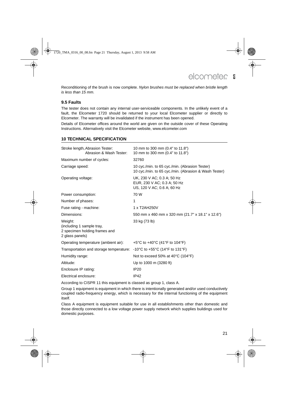Reconditioning of the brush is now complete. *Nylon brushes must be replaced when bristle length is less than 15 mm.*

### <span id="page-22-0"></span>**9.5 Faults**

The tester does not contain any internal user-serviceable components. In the unlikely event of a fault, the Elcometer 1720 should be returned to your local Elcometer supplier or directly to Elcometer. The warranty will be invalidated if the instrument has been opened.

Details of Elcometer offices around the world are given on the outside cover of these Operating Instructions. Alternatively visit the Elcometer website, www.elcometer.com

### <span id="page-22-1"></span>**10 TECHNICAL SPECIFICATION**

| Stroke length, Abrasion Tester:<br>Abrasion & Wash Tester:                                                       | 10 mm to 300 mm (0.4" to 11.8")<br>10 mm to 300 mm (0.4" to 11.8")                                      |
|------------------------------------------------------------------------------------------------------------------|---------------------------------------------------------------------------------------------------------|
| Maximum number of cycles:                                                                                        | 32760                                                                                                   |
| Carriage speed:                                                                                                  | 10 cyc./min. to 65 cyc./min. (Abrasion Tester)<br>10 cyc./min. to 65 cyc./min. (Abrasion & Wash Tester) |
| Operating voltage:                                                                                               | UK, 230 V AC; 0.3 A; 50 Hz<br>EUR, 230 V AC; 0.3 A; 50 Hz<br>US, 120 V AC; 0.6 A; 60 Hz                 |
| Power consumption:                                                                                               | 70 W                                                                                                    |
| Number of phases:                                                                                                | 1                                                                                                       |
| Fuse rating - machine:                                                                                           | 1 x T2AH250V                                                                                            |
| Dimensions:                                                                                                      | 550 mm x 460 mm x 320 mm (21.7" x 18.1" x 12.6")                                                        |
| Weight:<br>(including 1 sample tray,<br>2 specimen holding frames and<br>2 glass panels)                         | 33 kg (73 lb)                                                                                           |
| Operating temperature (ambient air):                                                                             | +5°C to +40°C (41°F to 104°F)                                                                           |
| Transportation and storage temperature: $-10^{\circ}$ C to $+55^{\circ}$ C (14 $^{\circ}$ F to 131 $^{\circ}$ F) |                                                                                                         |
| Humidity range:                                                                                                  | Not to exceed 50% at 40 $\degree$ C (104 $\degree$ F)                                                   |
| Altitude:                                                                                                        | Up to 1000 m (3280 ft)                                                                                  |
| Enclosure IP rating:                                                                                             | <b>IP20</b>                                                                                             |
| Electrical enclosure:                                                                                            | IP42                                                                                                    |

According to CISPR 11 this equipment is classed as group 1, class A.

Group 1 equipment is equipment in which there is intentionally generated and/or used conductively coupled radio-frequency energy, which is necessary for the internal functioning of the equipment itself.

Class A equipment is equipment suitable for use in all establishments other than domestic and those directly connected to a low voltage power supply network which supplies buildings used for domestic purposes.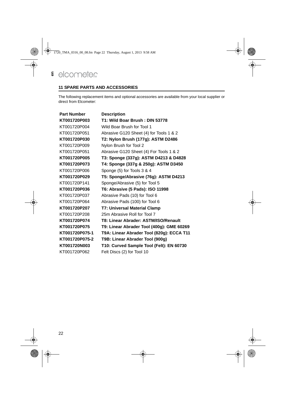### <span id="page-23-0"></span>**11 SPARE PARTS AND ACCESSORIES**

The following replacement items and optional accessories are available from your local supplier or direct from Elcometer:

| <b>Part Number</b> | <b>Description</b>                        |
|--------------------|-------------------------------------------|
| KT001720P003       | T1: Wild Boar Brush: DIN 53778            |
| KT001720P004       | Wild Boar Brush for Tool 1                |
| KT001720P051       | Abrasive G120 Sheet (4) for Tools 1 & 2   |
| KT001720P030       | T2: Nylon Brush (177g): ASTM D2486        |
| KT001720P009       | Nylon Brush for Tool 2                    |
| KT001720P051       | Abrasive G120 Sheet (4) For Tools 1 & 2   |
| KT001720P005       | T3: Sponge (337g): ASTM D4213 & D4828     |
| KT001720P073       | T4: Sponge (337g & 250g): ASTM D3450      |
| KT001720P006       | Sponge (5) for Tools 3 & 4                |
| KT001720P029       | T5: Sponge/Abrasive (76g): ASTM D4213     |
| KT001720P141       | Sponge/Abrasive (5) for Tool 5            |
| KT001720P036       | T6: Abrasive (5 Pads): ISO 11998          |
| KT001720P037       | Abrasive Pads (10) for Tool 6             |
| KT001720P064       | Abrasive Pads (100) for Tool 6            |
| KT001720P207       | T7: Universal Material Clamp              |
| KT001720P208       | 25m Abrasive Roll for Tool 7              |
| KT001720P074       | T8: Linear Abrader: ASTM/ISO/Renault      |
| KT001720P075       | T9: Linear Abrader Tool (400g): GME 60269 |
| KT001720P075-1     | T9A: Linear Abrader Tool (820g): ECCA T11 |
| KT001720P075-2     | T9B: Linear Abrader Tool (900g)           |
| KT001720N003       | T10: Curved Sample Tool (Felt): EN 60730  |
| KT001720P062       | Felt Discs (2) for Tool 10                |